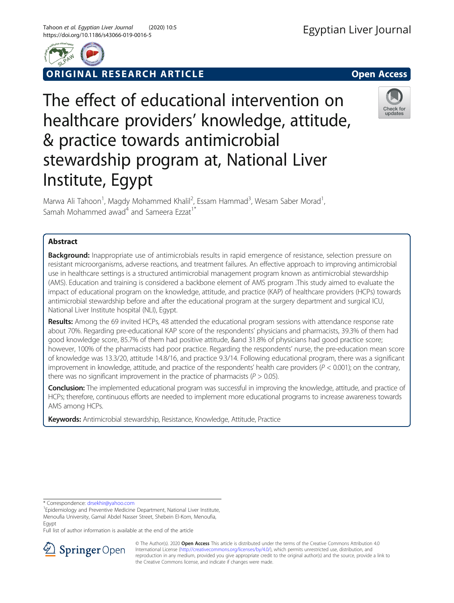

**RIGINAL RESEARCH ARTICLE CONSIDERING OPEN ACCESS** 

# The effect of educational intervention on healthcare providers' knowledge, attitude, & practice towards antimicrobial stewardship program at, National Liver Institute, Egypt

Marwa Ali Tahoon<sup>1</sup>, Magdy Mohammed Khalil<sup>2</sup>, Essam Hammad<sup>3</sup>, Wesam Saber Morad<sup>1</sup> , Samah Mohammed awad<sup>4</sup> and Sameera Ezzat<sup>1</sup><sup>\*</sup>

# Abstract

**Background:** Inappropriate use of antimicrobials results in rapid emergence of resistance, selection pressure on resistant microorganisms, adverse reactions, and treatment failures. An effective approach to improving antimicrobial use in healthcare settings is a structured antimicrobial management program known as antimicrobial stewardship (AMS). Education and training is considered a backbone element of AMS program .This study aimed to evaluate the impact of educational program on the knowledge, attitude, and practice (KAP) of healthcare providers (HCPs) towards antimicrobial stewardship before and after the educational program at the surgery department and surgical ICU, National Liver Institute hospital (NLI), Egypt.

Results: Among the 69 invited HCPs, 48 attended the educational program sessions with attendance response rate about 70%. Regarding pre-educational KAP score of the respondents' physicians and pharmacists, 39.3% of them had good knowledge score, 85.7% of them had positive attitude, &and 31.8% of physicians had good practice score; however, 100% of the pharmacists had poor practice. Regarding the respondents' nurse, the pre-education mean score of knowledge was 13.3/20, attitude 14.8/16, and practice 9.3/14. Following educational program, there was a significant improvement in knowledge, attitude, and practice of the respondents' health care providers ( $P < 0.001$ ); on the contrary, there was no significant improvement in the practice of pharmacists ( $P > 0.05$ ).

**Conclusion:** The implemented educational program was successful in improving the knowledge, attitude, and practice of HCPs; therefore, continuous efforts are needed to implement more educational programs to increase awareness towards AMS among HCPs.

Keywords: Antimicrobial stewardship, Resistance, Knowledge, Attitude, Practice

\* Correspondence: [drsekhir@yahoo.com](mailto:drsekhir@yahoo.com) <sup>1</sup>

<sup>1</sup> Epidemiology and Preventive Medicine Department, National Liver Institute, Menoufia University, Gamal Abdel Nasser Street, Shebein El-Kom, Menoufia, Egypt

Full list of author information is available at the end of the article







<sup>©</sup> The Author(s). 2020 Open Access This article is distributed under the terms of the Creative Commons Attribution 4.0 International License ([http://creativecommons.org/licenses/by/4.0/\)](http://creativecommons.org/licenses/by/4.0/), which permits unrestricted use, distribution, and reproduction in any medium, provided you give appropriate credit to the original author(s) and the source, provide a link to the Creative Commons license, and indicate if changes were made.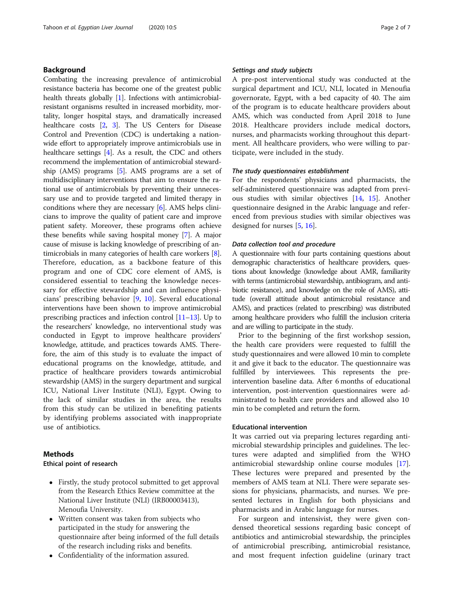## Background

Combating the increasing prevalence of antimicrobial resistance bacteria has become one of the greatest public health threats globally [[1\]](#page-6-0). Infections with antimicrobialresistant organisms resulted in increased morbidity, mortality, longer hospital stays, and dramatically increased healthcare costs [\[2,](#page-6-0) [3](#page-6-0)]. The US Centers for Disease Control and Prevention (CDC) is undertaking a nationwide effort to appropriately improve antimicrobials use in healthcare settings [[4](#page-6-0)]. As a result, the CDC and others recommend the implementation of antimicrobial stewardship (AMS) programs [\[5](#page-6-0)]. AMS programs are a set of multidisciplinary interventions that aim to ensure the rational use of antimicrobials by preventing their unnecessary use and to provide targeted and limited therapy in conditions where they are necessary [[6\]](#page-6-0). AMS helps clinicians to improve the quality of patient care and improve patient safety. Moreover, these programs often achieve these benefits while saving hospital money [[7\]](#page-6-0). A major cause of misuse is lacking knowledge of prescribing of antimicrobials in many categories of health care workers [[8](#page-6-0)]. Therefore, education, as a backbone feature of this program and one of CDC core element of AMS, is considered essential to teaching the knowledge necessary for effective stewardship and can influence physicians' prescribing behavior [[9,](#page-6-0) [10](#page-6-0)]. Several educational interventions have been shown to improve antimicrobial prescribing practices and infection control [[11](#page-6-0)–[13\]](#page-6-0). Up to the researchers' knowledge, no interventional study was conducted in Egypt to improve healthcare providers' knowledge, attitude, and practices towards AMS. Therefore, the aim of this study is to evaluate the impact of educational programs on the knowledge, attitude, and practice of healthcare providers towards antimicrobial stewardship (AMS) in the surgery department and surgical ICU, National Liver Institute (NLI), Egypt. Owing to the lack of similar studies in the area, the results from this study can be utilized in benefiting patients by identifying problems associated with inappropriate use of antibiotics.

## Methods

## Ethical point of research

- Firstly, the study protocol submitted to get approval from the Research Ethics Review committee at the National Liver Institute (NLI) (IRB00003413), Menoufia University.
- Written consent was taken from subjects who participated in the study for answering the questionnaire after being informed of the full details of the research including risks and benefits.
- Confidentiality of the information assured.

## Settings and study subjects

A pre-post interventional study was conducted at the surgical department and ICU, NLI, located in Menoufia governorate, Egypt, with a bed capacity of 40. The aim of the program is to educate healthcare providers about AMS, which was conducted from April 2018 to June 2018. Healthcare providers include medical doctors, nurses, and pharmacists working throughout this department. All healthcare providers, who were willing to participate, were included in the study.

## The study questionnaires establishment

For the respondents' physicians and pharmacists, the self-administered questionnaire was adapted from previous studies with similar objectives [[14](#page-6-0), [15](#page-6-0)]. Another questionnaire designed in the Arabic language and referenced from previous studies with similar objectives was designed for nurses [\[5](#page-6-0), [16](#page-6-0)].

## Data collection tool and procedure

A questionnaire with four parts containing questions about demographic characteristics of healthcare providers, questions about knowledge (knowledge about AMR, familiarity with terms (antimicrobial stewardship, antibiogram, and antibiotic resistance), and knowledge on the role of AMS), attitude (overall attitude about antimicrobial resistance and AMS), and practices (related to prescribing) was distributed among healthcare providers who fulfill the inclusion criteria and are willing to participate in the study.

Prior to the beginning of the first workshop session, the health care providers were requested to fulfill the study questionnaires and were allowed 10 min to complete it and give it back to the educator. The questionnaire was fulfilled by interviewees. This represents the preintervention baseline data. After 6 months of educational intervention, post-intervention questionnaires were administrated to health care providers and allowed also 10 min to be completed and return the form.

### Educational intervention

It was carried out via preparing lectures regarding antimicrobial stewardship principles and guidelines. The lectures were adapted and simplified from the WHO antimicrobial stewardship online course modules [\[17](#page-6-0)]. These lectures were prepared and presented by the members of AMS team at NLI. There were separate sessions for physicians, pharmacists, and nurses. We presented lectures in English for both physicians and pharmacists and in Arabic language for nurses.

For surgeon and intensivist, they were given condensed theoretical sessions regarding basic concept of antibiotics and antimicrobial stewardship, the principles of antimicrobial prescribing, antimicrobial resistance, and most frequent infection guideline (urinary tract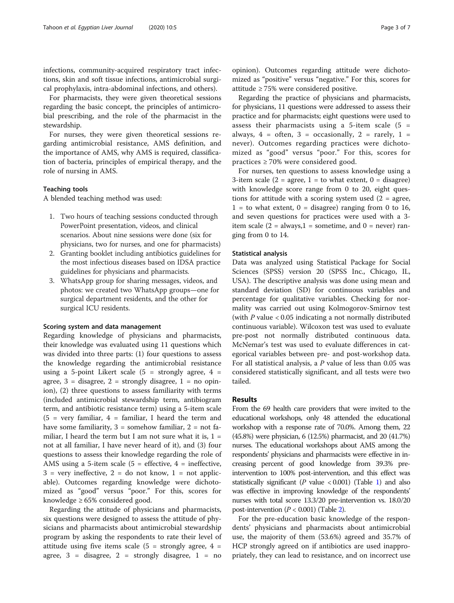infections, community-acquired respiratory tract infections, skin and soft tissue infections, antimicrobial surgical prophylaxis, intra-abdominal infections, and others).

For pharmacists, they were given theoretical sessions regarding the basic concept, the principles of antimicrobial prescribing, and the role of the pharmacist in the stewardship.

For nurses, they were given theoretical sessions regarding antimicrobial resistance, AMS definition, and the importance of AMS, why AMS is required, classification of bacteria, principles of empirical therapy, and the role of nursing in AMS.

## Teaching tools

A blended teaching method was used:

- 1. Two hours of teaching sessions conducted through PowerPoint presentation, videos, and clinical scenarios. About nine sessions were done (six for physicians, two for nurses, and one for pharmacists)
- 2. Granting booklet including antibiotics guidelines for the most infectious diseases based on IDSA practice guidelines for physicians and pharmacists.
- 3. WhatsApp group for sharing messages, videos, and photos: we created two WhatsApp groups—one for surgical department residents, and the other for surgical ICU residents.

## Scoring system and data management

Regarding knowledge of physicians and pharmacists, their knowledge was evaluated using 11 questions which was divided into three parts: (1) four questions to assess the knowledge regarding the antimicrobial resistance using a 5-point Likert scale  $(5 =$  strongly agree,  $4 =$ agree,  $3 =$  disagree,  $2 =$  strongly disagree,  $1 =$  no opinion), (2) three questions to assess familiarity with terms (included antimicrobial stewardship term, antibiogram term, and antibiotic resistance term) using a 5-item scale  $(5$  = very familiar, 4 = familiar, I heard the term and have some familiarity,  $3 =$  somehow familiar,  $2 =$  not familiar, I heard the term but I am not sure what it is,  $1 =$ not at all familiar, I have never heard of it), and (3) four questions to assess their knowledge regarding the role of AMS using a 5-item scale  $(5 =$  effective,  $4 =$  ineffective,  $3$  = very ineffective,  $2$  = do not know,  $1$  = not applicable). Outcomes regarding knowledge were dichotomized as "good" versus "poor." For this, scores for knowledge  $\geq 65\%$  considered good.

Regarding the attitude of physicians and pharmacists, six questions were designed to assess the attitude of physicians and pharmacists about antimicrobial stewardship program by asking the respondents to rate their level of attitude using five items scale  $(5 =$  strongly agree,  $4 =$ agree,  $3 =$  disagree,  $2 =$  strongly disagree,  $1 =$  no

opinion). Outcomes regarding attitude were dichotomized as "positive" versus "negative." For this, scores for attitude ≥ 75% were considered positive.

Regarding the practice of physicians and pharmacists, for physicians, 11 questions were addressed to assess their practice and for pharmacists; eight questions were used to assess their pharmacists using a 5-item scale  $(5 =$ always,  $4 =$  often,  $3 =$  occasionally,  $2 =$  rarely,  $1 =$ never). Outcomes regarding practices were dichotomized as "good" versus "poor." For this, scores for practices ≥ 70% were considered good.

For nurses, ten questions to assess knowledge using a 3-item scale (2 = agree, 1 = to what extent,  $0 =$  disagree) with knowledge score range from 0 to 20, eight questions for attitude with a scoring system used  $(2 = agree,$  $1 =$  to what extent,  $0 =$  disagree) ranging from 0 to 16, and seven questions for practices were used with a 3 item scale  $(2 = \text{always}, 1 = \text{sometimes}, \text{and } 0 = \text{never}) \text{ ran-}$ ging from 0 to 14.

## Statistical analysis

Data was analyzed using Statistical Package for Social Sciences (SPSS) version 20 (SPSS Inc., Chicago, IL, USA). The descriptive analysis was done using mean and standard deviation (SD) for continuous variables and percentage for qualitative variables. Checking for normality was carried out using Kolmogorov-Smirnov test (with  $P$  value  $\lt 0.05$  indicating a not normally distributed continuous variable). Wilcoxon test was used to evaluate pre-post not normally distributed continuous data. McNemar's test was used to evaluate differences in categorical variables between pre- and post-workshop data. For all statistical analysis, a  $P$  value of less than 0.05 was considered statistically significant, and all tests were two tailed.

## Results

From the 69 health care providers that were invited to the educational workshops, only 48 attended the educational workshop with a response rate of 70.0%. Among them, 22 (45.8%) were physician, 6 (12.5%) pharmacist, and 20 (41.7%) nurses. The educational workshops about AMS among the respondents' physicians and pharmacists were effective in increasing percent of good knowledge from 39.3% preintervention to 100% post-intervention, and this effect was statistically significant ( $P$  value  $< 0.001$ ) (Table [1\)](#page-3-0) and also was effective in improving knowledge of the respondents' nurses with total score 13.3/20 pre-intervention vs. 18.0/20 post-intervention  $(P < 0.001)$  (Table [2\)](#page-3-0).

For the pre-education basic knowledge of the respondents' physicians and pharmacists about antimicrobial use, the majority of them (53.6%) agreed and 35.7% of HCP strongly agreed on if antibiotics are used inappropriately, they can lead to resistance, and on incorrect use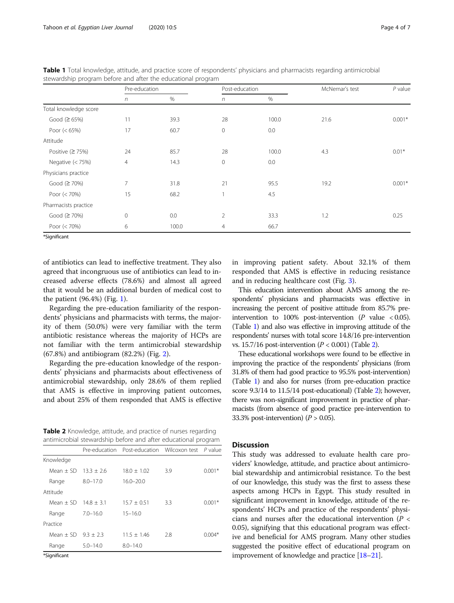|                       | Pre-education  |       | Post-education |       | McNemar's test | $P$ value |
|-----------------------|----------------|-------|----------------|-------|----------------|-----------|
|                       | $\eta$         | %     | $\sqrt{n}$     | %     |                |           |
| Total knowledge score |                |       |                |       |                |           |
| Good $(265%)$         | 11             | 39.3  | 28             | 100.0 | 21.6           | $0.001*$  |
| Poor $(< 65\%)$       | 17             | 60.7  | $\circ$        | 0.0   |                |           |
| Attitude              |                |       |                |       |                |           |
| Positive $(275%)$     | 24             | 85.7  | 28             | 100.0 | 4.3            | $0.01*$   |
| Negative $(< 75\%)$   | $\overline{4}$ | 14.3  | $\circ$        | 0.0   |                |           |
| Physicians practice   |                |       |                |       |                |           |
| Good (≥ 70%)          | 7              | 31.8  | 21             | 95.5  | 19.2           | $0.001*$  |
| Poor $(< 70\%)$       | 15             | 68.2  | 1              | 4.5   |                |           |
| Pharmacists practice  |                |       |                |       |                |           |
| Good (≥ 70%)          | 0              | 0.0   | $\overline{2}$ | 33.3  | 1.2            | 0.25      |
| Poor (< 70%)          | 6              | 100.0 | 4              | 66.7  |                |           |
| *Significant          |                |       |                |       |                |           |

<span id="page-3-0"></span>Table 1 Total knowledge, attitude, and practice score of respondents' physicians and pharmacists regarding antimicrobial stewardship program before and after the educational program

of antibiotics can lead to ineffective treatment. They also agreed that incongruous use of antibiotics can lead to increased adverse effects (78.6%) and almost all agreed that it would be an additional burden of medical cost to

the patient (96.4%) (Fig. [1](#page-4-0)).

Regarding the pre-education familiarity of the respondents' physicians and pharmacists with terms, the majority of them (50.0%) were very familiar with the term antibiotic resistance whereas the majority of HCPs are not familiar with the term antimicrobial stewardship (67.8%) and antibiogram (82.2%) (Fig. [2](#page-4-0)).

Regarding the pre-education knowledge of the respondents' physicians and pharmacists about effectiveness of antimicrobial stewardship, only 28.6% of them replied that AMS is effective in improving patient outcomes, and about 25% of them responded that AMS is effective

Table 2 Knowledge, attitude, and practice of nurses regarding antimicrobial stewardship before and after educational program

|             |              | Pre-education Post-education Wilcoxon test P value |     |          |
|-------------|--------------|----------------------------------------------------|-----|----------|
| Knowledge   |              |                                                    |     |          |
| Mean $+$ SD | $13.3 + 2.6$ | $18.0 + 1.02$                                      | 3.9 | $0.001*$ |
| Range       | $8.0 - 17.0$ | $16.0 - 20.0$                                      |     |          |
| Attitude    |              |                                                    |     |          |
| Mean $+$ SD | $14.8 + 3.1$ | $15.7 \pm 0.51$                                    | 3.3 | $0.001*$ |
| Range       | $7.0 - 16.0$ | $15 - 16.0$                                        |     |          |
| Practice    |              |                                                    |     |          |
| Mean $+$ SD | $9.3 + 2.3$  | $11.5 + 1.46$                                      | 2.8 | $0.004*$ |
| Range       | $5.0 - 14.0$ | $8.0 - 14.0$                                       |     |          |
|             |              |                                                    |     |          |

\*Significant

in improving patient safety. About 32.1% of them responded that AMS is effective in reducing resistance and in reducing healthcare cost (Fig. [3](#page-5-0)).

This education intervention about AMS among the respondents' physicians and pharmacists was effective in increasing the percent of positive attitude from 85.7% preintervention to 100% post-intervention  $(P \text{ value} < 0.05)$ . (Table 1) and also was effective in improving attitude of the respondents' nurses with total score 14.8/16 pre-intervention vs. 15.7/16 post-intervention  $(P < 0.001)$  (Table 2).

These educational workshops were found to be effective in improving the practice of the respondents' physicians (from 31.8% of them had good practice to 95.5% post-intervention) (Table 1) and also for nurses (from pre-education practice score 9.3/14 to 11.5/14 post-educational) (Table 2); however, there was non-significant improvement in practice of pharmacists (from absence of good practice pre-intervention to 33.3% post-intervention)  $(P > 0.05)$ .

## **Discussion**

This study was addressed to evaluate health care providers' knowledge, attitude, and practice about antimicrobial stewardship and antimicrobial resistance. To the best of our knowledge, this study was the first to assess these aspects among HCPs in Egypt. This study resulted in significant improvement in knowledge, attitude of the respondents' HCPs and practice of the respondents' physicians and nurses after the educational intervention ( $P <$ 0.05), signifying that this educational program was effective and beneficial for AMS program. Many other studies suggested the positive effect of educational program on improvement of knowledge and practice [[18](#page-6-0)–[21\]](#page-6-0).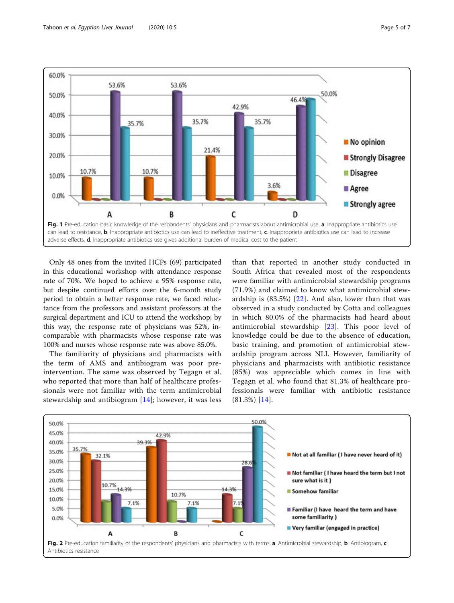<span id="page-4-0"></span>

Only 48 ones from the invited HCPs (69) participated in this educational workshop with attendance response rate of 70%. We hoped to achieve a 95% response rate, but despite continued efforts over the 6-month study period to obtain a better response rate, we faced reluctance from the professors and assistant professors at the surgical department and ICU to attend the workshop; by this way, the response rate of physicians was 52%, incomparable with pharmacists whose response rate was 100% and nurses whose response rate was above 85.0%.

The familiarity of physicians and pharmacists with the term of AMS and antibiogram was poor preintervention. The same was observed by Tegagn et al. who reported that more than half of healthcare professionals were not familiar with the term antimicrobial stewardship and antibiogram [[14](#page-6-0)]; however, it was less

than that reported in another study conducted in South Africa that revealed most of the respondents were familiar with antimicrobial stewardship programs (71.9%) and claimed to know what antimicrobial stewardship is  $(83.5%)$   $[22]$  $[22]$ . And also, lower than that was observed in a study conducted by Cotta and colleagues in which 80.0% of the pharmacists had heard about antimicrobial stewardship [[23](#page-6-0)]. This poor level of knowledge could be due to the absence of education, basic training, and promotion of antimicrobial stewardship program across NLI. However, familiarity of physicians and pharmacists with antibiotic resistance (85%) was appreciable which comes in line with Tegagn et al. who found that 81.3% of healthcare professionals were familiar with antibiotic resistance (81.3%) [\[14\]](#page-6-0).

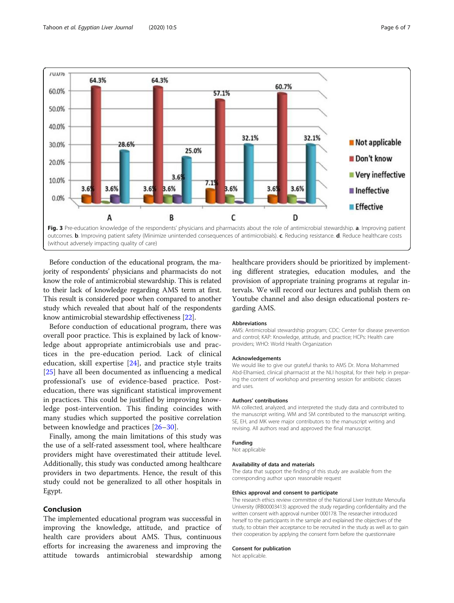<span id="page-5-0"></span>

(without adversely impacting quality of care)

Before conduction of the educational program, the majority of respondents' physicians and pharmacists do not know the role of antimicrobial stewardship. This is related to their lack of knowledge regarding AMS term at first. This result is considered poor when compared to another study which revealed that about half of the respondents know antimicrobial stewardship effectiveness [\[22\]](#page-6-0).

Before conduction of educational program, there was overall poor practice. This is explained by lack of knowledge about appropriate antimicrobials use and practices in the pre-education period. Lack of clinical education, skill expertise [[24\]](#page-6-0), and practice style traits [[25\]](#page-6-0) have all been documented as influencing a medical professional's use of evidence-based practice. Posteducation, there was significant statistical improvement in practices. This could be justified by improving knowledge post-intervention. This finding coincides with many studies which supported the positive correlation between knowledge and practices [[26](#page-6-0)–[30\]](#page-6-0).

Finally, among the main limitations of this study was the use of a self-rated assessment tool, where healthcare providers might have overestimated their attitude level. Additionally, this study was conducted among healthcare providers in two departments. Hence, the result of this study could not be generalized to all other hospitals in Egypt.

## Conclusion

The implemented educational program was successful in improving the knowledge, attitude, and practice of health care providers about AMS. Thus, continuous efforts for increasing the awareness and improving the attitude towards antimicrobial stewardship among

healthcare providers should be prioritized by implementing different strategies, education modules, and the provision of appropriate training programs at regular intervals. We will record our lectures and publish them on Youtube channel and also design educational posters regarding AMS.

#### Abbreviations

AMS: Antimicrobial stewardship program; CDC: Center for disease prevention and control; KAP: Knowledge, attitude, and practice; HCPs: Health care providers; WHO: World Health Organization

#### Acknowledgements

We would like to give our grateful thanks to AMS Dr. Mona Mohammed Abd-Elhamied, clinical pharmacist at the NLI hospital, for their help in preparing the content of workshop and presenting session for antibiotic classes and uses.

#### Authors' contributions

MA collected, analyzed, and interpreted the study data and contributed to the manuscript writing. WM and SM contributed to the manuscript writing. SE, EH, and MK were major contributors to the manuscript writing and revising. All authors read and approved the final manuscript.

#### Funding

Not applicable

#### Availability of data and materials

The data that support the finding of this study are available from the corresponding author upon reasonable request

#### Ethics approval and consent to participate

The research ethics review committee of the National Liver Institute Menoufia University (IRB00003413) approved the study regarding confidentiality and the written consent with approval number 000178. The researcher introduced herself to the participants in the sample and explained the objectives of the study, to obtain their acceptance to be recruited in the study as well as to gain their cooperation by applying the consent form before the questionnaire

## Consent for publication

Not applicable.